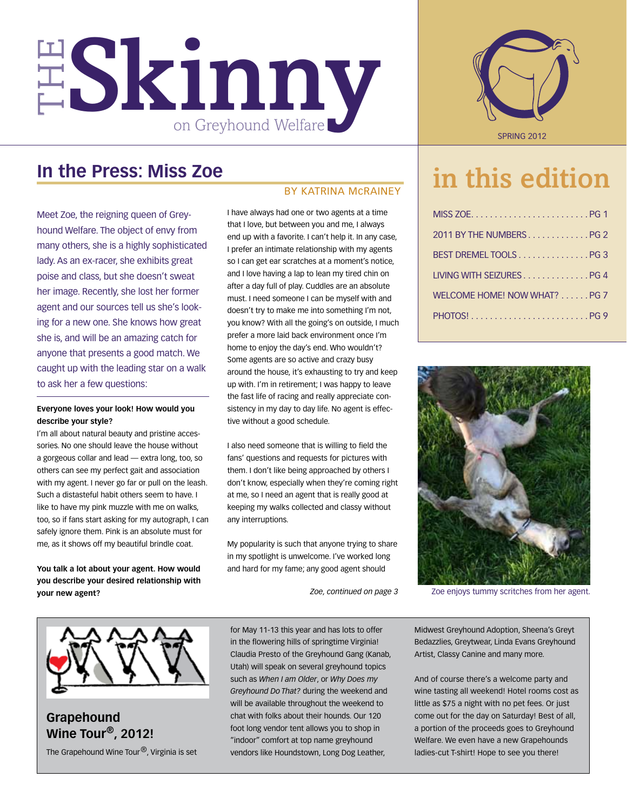

## **In the Press: Miss Zoe**

Meet Zoe, the reigning queen of Greyhound Welfare. The object of envy from many others, she is a highly sophisticated lady. As an ex-racer, she exhibits great poise and class, but she doesn't sweat her image. Recently, she lost her former agent and our sources tell us she's looking for a new one. She knows how great she is, and will be an amazing catch for anyone that presents a good match. We caught up with the leading star on a walk to ask her a few questions:

## **Everyone loves your look! How would you describe your style?**

I'm all about natural beauty and pristine accessories. No one should leave the house without a gorgeous collar and lead — extra long, too, so others can see my perfect gait and association with my agent. I never go far or pull on the leash. Such a distasteful habit others seem to have. I like to have my pink muzzle with me on walks, too, so if fans start asking for my autograph, I can safely ignore them. Pink is an absolute must for me, as it shows off my beautiful brindle coat.

**You talk a lot about your agent. How would you describe your desired relationship with your new agent?**

## By katrina mcrainey

I have always had one or two agents at a time that I love, but between you and me, I always end up with a favorite. I can't help it. In any case, I prefer an intimate relationship with my agents so I can get ear scratches at a moment's notice, and I love having a lap to lean my tired chin on after a day full of play. Cuddles are an absolute must. I need someone I can be myself with and doesn't try to make me into something I'm not, you know? With all the going's on outside, I much prefer a more laid back environment once I'm home to enjoy the day's end. Who wouldn't? Some agents are so active and crazy busy around the house, it's exhausting to try and keep up with. I'm in retirement; I was happy to leave the fast life of racing and really appreciate consistency in my day to day life. No agent is effective without a good schedule.

I also need someone that is willing to field the fans' questions and requests for pictures with them. I don't like being approached by others I don't know, especially when they're coming right at me, so I need an agent that is really good at keeping my walks collected and classy without any interruptions.

My popularity is such that anyone trying to share in my spotlight is unwelcome. I've worked long and hard for my fame; any good agent should



# in this edition

| 2011 BY THE NUMBERSPG 2      |  |
|------------------------------|--|
| BEST DREMEL TOOLSPG3         |  |
| LIVING WITH SEIZURES PG 4    |  |
| WELCOME HOME! NOW WHAT? PG 7 |  |
|                              |  |



*Zoe, continued on page 3* Zoe enjoys tummy scritches from her agent.



**Grapehound Wine Tour®, 2012!** The Grapehound Wine Tour®, Virginia is set for May 11-13 this year and has lots to offer in the flowering hills of springtime Virginia! Claudia Presto of the Greyhound Gang (Kanab, Utah) will speak on several greyhound topics such as *When I am Older*, or *Why Does my Greyhound Do That?* during the weekend and will be available throughout the weekend to chat with folks about their hounds. Our 120 foot long vendor tent allows you to shop in "indoor" comfort at top name greyhound vendors like Houndstown, Long Dog Leather,

Midwest Greyhound Adoption, Sheena's Greyt Bedazzlies, Greytwear, Linda Evans Greyhound Artist, Classy Canine and many more.

And of course there's a welcome party and wine tasting all weekend! Hotel rooms cost as little as \$75 a night with no pet fees. Or just come out for the day on Saturday! Best of all, a portion of the proceeds goes to Greyhound Welfare. We even have a new Grapehounds ladies-cut T-shirt! Hope to see you there!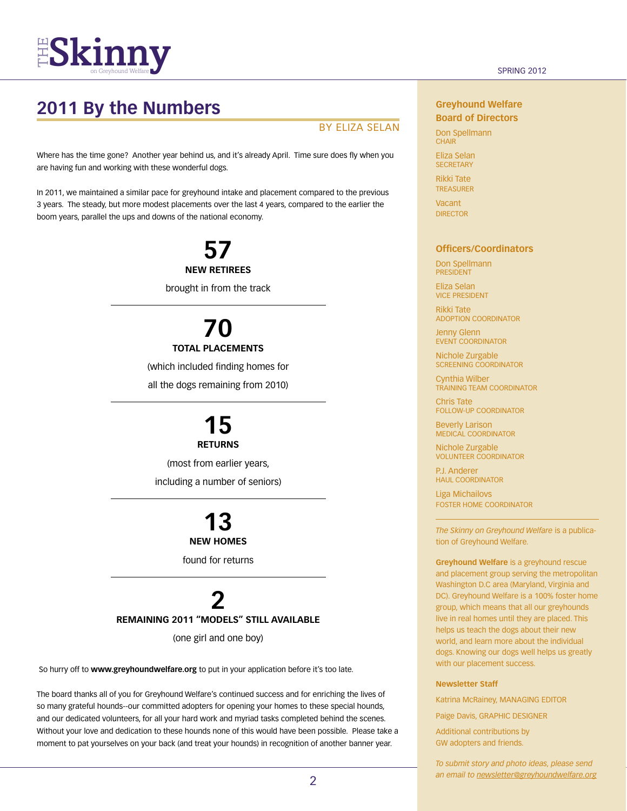

## **2011 By the Numbers**

## By Eliza Selan

Where has the time gone? Another year behind us, and it's already April. Time sure does fly when you are having fun and working with these wonderful dogs.

In 2011, we maintained a similar pace for greyhound intake and placement compared to the previous 3 years. The steady, but more modest placements over the last 4 years, compared to the earlier the boom years, parallel the ups and downs of the national economy.

> **57 new retirees** brought in from the track

# **70**

## **total placements**

(which included finding homes for

all the dogs remaining from 2010)

## **15 returns**

(most from earlier years, including a number of seniors)

## **13 new homes**

found for returns

## **2 remaining 2011 "models" still available**

(one girl and one boy)

So hurry off to **www.greyhoundwelfare.org** to put in your application before it's too late.

The board thanks all of you for Greyhound Welfare's continued success and for enriching the lives of so many grateful hounds--our committed adopters for opening your homes to these special hounds, and our dedicated volunteers, for all your hard work and myriad tasks completed behind the scenes. Without your love and dedication to these hounds none of this would have been possible. Please take a moment to pat yourselves on your back (and treat your hounds) in recognition of another banner year.

## **Greyhound Welfare Board of Directors**

Don Spellmann **CHAIR** 

Eliza Selan **SECRETARY** 

Rikki Tate **TREASURER Vacant** 

**DIRECTOR** 

## **Officers/Coordinators**

Don Spellmann president

Eliza Selan vice president

Rikki Tate Adoption Coordinator

Jenny Glenn EVENT COORDINATOR

Nichole Zurgable Screening Coordinator

Cynthia Wilber Training Team Coordinator

Chris Tate Follow-up Coordinator

Beverly Larison Medical Coordinator

Nichole Zurgable Volunteer Coordinator

P.J. Anderer haul Coordinator

Liga Michailovs foster home Coordinator

*The Skinny on Greyhound Welfare* is a publication of Greyhound Welfare.

**Greyhound Welfare** is a greyhound rescue and placement group serving the metropolitan Washington D.C area (Maryland, Virginia and DC). Greyhound Welfare is a 100% foster home group, which means that all our greyhounds live in real homes until they are placed. This helps us teach the dogs about their new world, and learn more about the individual dogs. Knowing our dogs well helps us greatly with our placement success.

#### **Newsletter Staff**

Katrina McRainey, MANAGING EDITOR

Paige Davis, GRAPHIC DESIGNER

Additional contributions by GW adopters and friends.

*To submit story and photo ideas, please send an email to newsletter@greyhoundwelfare.org*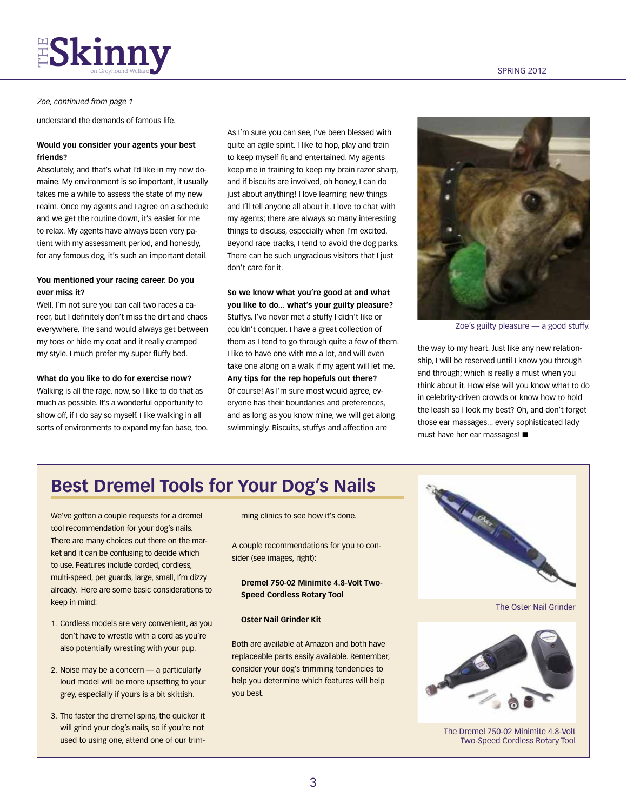# $FS$ kinny  $\sum_{\text{on } \text{Grevhound } \text{Wellarea}}$

### *Zoe, continued from page 1*

understand the demands of famous life.

## **Would you consider your agents your best friends?**

Absolutely, and that's what I'd like in my new domaine. My environment is so important, it usually takes me a while to assess the state of my new realm. Once my agents and I agree on a schedule and we get the routine down, it's easier for me to relax. My agents have always been very patient with my assessment period, and honestly, for any famous dog, it's such an important detail.

## **You mentioned your racing career. Do you ever miss it?**

Well, I'm not sure you can call two races a career, but I definitely don't miss the dirt and chaos everywhere. The sand would always get between my toes or hide my coat and it really cramped my style. I much prefer my super fluffy bed.

### **What do you like to do for exercise now?**

Walking is all the rage, now, so I like to do that as much as possible. It's a wonderful opportunity to show off, if I do say so myself. I like walking in all sorts of environments to expand my fan base, too.

As I'm sure you can see, I've been blessed with quite an agile spirit. I like to hop, play and train to keep myself fit and entertained. My agents keep me in training to keep my brain razor sharp, and if biscuits are involved, oh honey, I can do just about anything! I love learning new things and I'll tell anyone all about it. I love to chat with my agents; there are always so many interesting things to discuss, especially when I'm excited. Beyond race tracks, I tend to avoid the dog parks. There can be such ungracious visitors that I just don't care for it.

**So we know what you're good at and what you like to do... what's your guilty pleasure?** Stuffys. I've never met a stuffy I didn't like or couldn't conquer. I have a great collection of them as I tend to go through quite a few of them. I like to have one with me a lot, and will even take one along on a walk if my agent will let me. **Any tips for the rep hopefuls out there?** Of course! As I'm sure most would agree, everyone has their boundaries and preferences, and as long as you know mine, we will get along swimmingly. Biscuits, stuffys and affection are



Zoe's guilty pleasure — a good stuffy.

the way to my heart. Just like any new relationship, I will be reserved until I know you through and through; which is really a must when you think about it. How else will you know what to do in celebrity-driven crowds or know how to hold the leash so I look my best? Oh, and don't forget those ear massages... every sophisticated lady must have her ear massages!  $\blacksquare$ 

## **Best Dremel Tools for Your Dog's Nails**

We've gotten a couple requests for a dremel tool recommendation for your dog's nails. There are many choices out there on the market and it can be confusing to decide which to use. Features include corded, cordless, multi-speed, pet guards, large, small, I'm dizzy already. Here are some basic considerations to keep in mind:

- 1. Cordless models are very convenient, as you don't have to wrestle with a cord as you're also potentially wrestling with your pup.
- 2. Noise may be a concern a particularly loud model will be more upsetting to your grey, especially if yours is a bit skittish.
- 3. The faster the dremel spins, the quicker it will grind your dog's nails, so if you're not used to using one, attend one of our trim-

ming clinics to see how it's done.

A couple recommendations for you to consider (see images, right):

**Dremel 750-02 Minimite 4.8-Volt Two-Speed Cordless Rotary Tool**

## **Oster Nail Grinder Kit**

Both are available at Amazon and both have replaceable parts easily available. Remember, consider your dog's trimming tendencies to help you determine which features will help you best.



The Oster Nail Grinder



The Dremel 750-02 Minimite 4.8-Volt Two-Speed Cordless Rotary Tool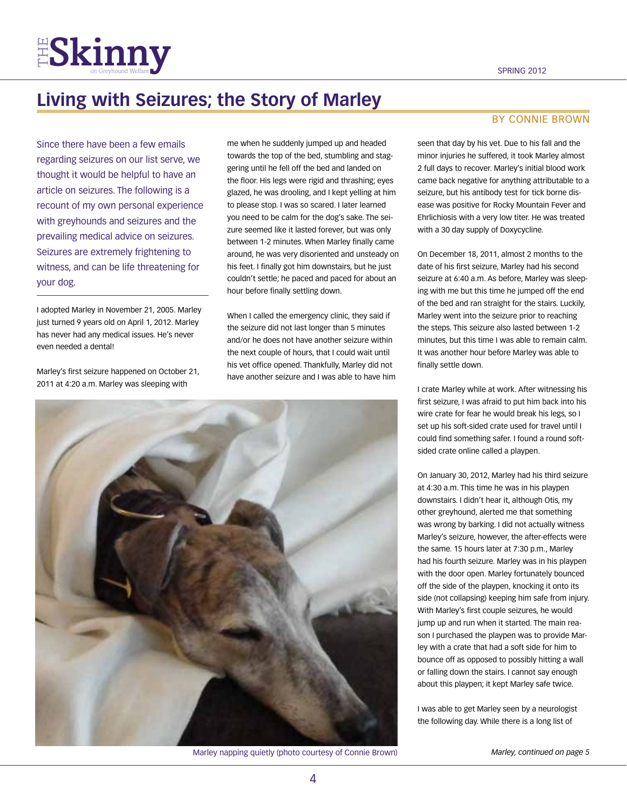

## **Living with Seizures; the Story of Marley**

Since there have been a few emails regarding seizures on our list serve, we thought it would be helpful to have an article on seizures. The following is a recount of my own personal experience with greyhounds and seizures and the prevailing medical advice on seizures. Seizures are extremely frightening to witness, and can be life threatening for your dog.

I adopted Marley in November 21, 2005. Marley just turned 9 years old on April 1, 2012. Marley has never had any medical issues. He's never even needed a dental!

Marley's first seizure happened on October 21, 2011 at 4:20 a.m. Marley was sleeping with

me when he suddenly jumped up and headed towards the top of the bed, stumbling and staggering until he fell off the bed and landed on the floor. His legs were rigid and thrashing; eyes glazed, he was drooling, and I kept yelling at him to please stop. I was so scared. I later learned you need to be calm for the dog's sake. The seizure seemed like it lasted forever, but was only between 1-2 minutes. When Marley finally came around, he was very disoriented and unsteady on his feet. I finally got him downstairs, but he just couldn't settle; he paced and paced for about an hour before finally settling down.

When I called the emergency clinic, they said if the seizure did not last longer than 5 minutes and/or he does not have another seizure within the next couple of hours, that I could wait until his vet office opened. Thankfully, Marley did not have another seizure and I was able to have him



Marley napping quietly (photo courtesy of Connie Brown) *Marley, continued on page 5*

## By connie brown

seen that day by his vet. Due to his fall and the minor injuries he suffered, it took Marley almost 2 full days to recover. Marley's initial blood work came back negative for anything attributable to a seizure, but his antibody test for tick borne disease was positive for Rocky Mountain Fever and Ehrlichiosis with a very low titer. He was treated with a 30 day supply of Doxycycline.

On December 18, 2011, almost 2 months to the date of his first seizure, Marley had his second seizure at 6:40 a.m. As before, Marley was sleeping with me but this time he jumped off the end of the bed and ran straight for the stairs. Luckily, Marley went into the seizure prior to reaching the steps. This seizure also lasted between 1-2 minutes, but this time I was able to remain calm. It was another hour before Marley was able to finally settle down.

I crate Marley while at work. After witnessing his first seizure, I was afraid to put him back into his wire crate for fear he would break his legs, so I set up his soft-sided crate used for travel until I could find something safer. I found a round softsided crate online called a playpen.

On January 30, 2012, Marley had his third seizure at 4:30 a.m. This time he was in his playpen downstairs. I didn't hear it, although Otis, my other greyhound, alerted me that something was wrong by barking. I did not actually witness Marley's seizure, however, the after-effects were the same. 15 hours later at 7:30 p.m., Marley had his fourth seizure. Marley was in his playpen with the door open. Marley fortunately bounced off the side of the playpen, knocking it onto its side (not collapsing) keeping him safe from injury. With Marley's first couple seizures, he would jump up and run when it started. The main reason I purchased the playpen was to provide Marley with a crate that had a soft side for him to bounce off as opposed to possibly hitting a wall or falling down the stairs. I cannot say enough about this playpen; it kept Marley safe twice.

I was able to get Marley seen by a neurologist the following day. While there is a long list of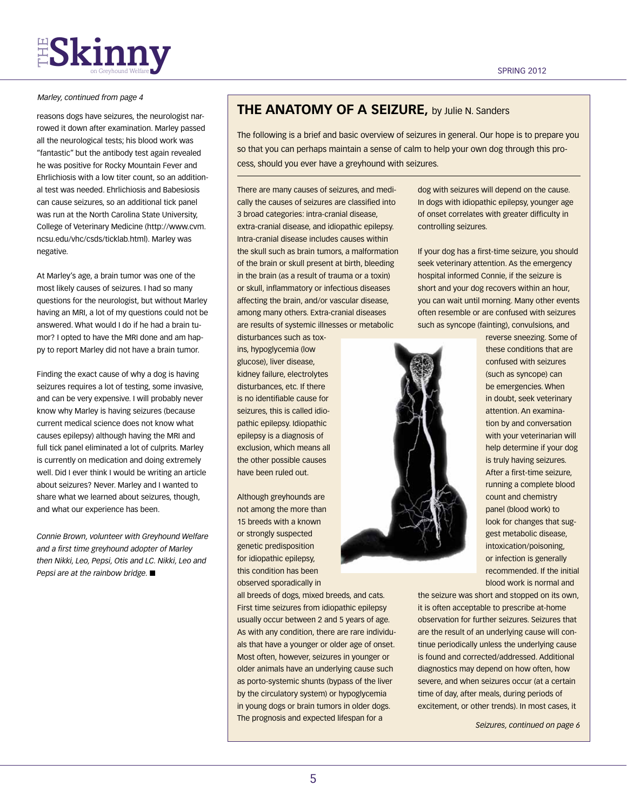## *Marley, continued from page 4*

reasons dogs have seizures, the neurologist narrowed it down after examination. Marley passed all the neurological tests; his blood work was "fantastic" but the antibody test again revealed he was positive for Rocky Mountain Fever and Ehrlichiosis with a low titer count, so an additional test was needed. Ehrlichiosis and Babesiosis can cause seizures, so an additional tick panel was run at the North Carolina State University, College of Veterinary Medicine (http://www.cvm. ncsu.edu/vhc/csds/ticklab.html). Marley was negative.

At Marley's age, a brain tumor was one of the most likely causes of seizures. I had so many questions for the neurologist, but without Marley having an MRI, a lot of my questions could not be answered. What would I do if he had a brain tumor? I opted to have the MRI done and am happy to report Marley did not have a brain tumor.

Finding the exact cause of why a dog is having seizures requires a lot of testing, some invasive, and can be very expensive. I will probably never know why Marley is having seizures (because current medical science does not know what causes epilepsy) although having the MRI and full tick panel eliminated a lot of culprits. Marley is currently on medication and doing extremely well. Did I ever think I would be writing an article about seizures? Never. Marley and I wanted to share what we learned about seizures, though, and what our experience has been.

*Connie Brown, volunteer with Greyhound Welfare and a first time greyhound adopter of Marley then Nikki, Leo, Pepsi, Otis and LC. Nikki, Leo and Pepsi are at the rainbow bridge.* ■

## **The Anatomy of a Seizure,** by Julie N. Sanders

The following is a brief and basic overview of seizures in general. Our hope is to prepare you so that you can perhaps maintain a sense of calm to help your own dog through this process, should you ever have a greyhound with seizures.

There are many causes of seizures, and medically the causes of seizures are classified into 3 broad categories: intra-cranial disease, extra-cranial disease, and idiopathic epilepsy. Intra-cranial disease includes causes within the skull such as brain tumors, a malformation of the brain or skull present at birth, bleeding in the brain (as a result of trauma or a toxin) or skull, inflammatory or infectious diseases affecting the brain, and/or vascular disease, among many others. Extra-cranial diseases are results of systemic illnesses or metabolic

disturbances such as toxins, hypoglycemia (low glucose), liver disease, kidney failure, electrolytes disturbances, etc. If there is no identifiable cause for seizures, this is called idiopathic epilepsy. Idiopathic epilepsy is a diagnosis of exclusion, which means all the other possible causes have been ruled out.

Although greyhounds are not among the more than 15 breeds with a known or strongly suspected genetic predisposition for idiopathic epilepsy, this condition has been observed sporadically in

all breeds of dogs, mixed breeds, and cats. First time seizures from idiopathic epilepsy usually occur between 2 and 5 years of age. As with any condition, there are rare individuals that have a younger or older age of onset. Most often, however, seizures in younger or older animals have an underlying cause such as porto-systemic shunts (bypass of the liver by the circulatory system) or hypoglycemia in young dogs or brain tumors in older dogs. The prognosis and expected lifespan for a

dog with seizures will depend on the cause. In dogs with idiopathic epilepsy, younger age of onset correlates with greater difficulty in controlling seizures.

If your dog has a first-time seizure, you should seek veterinary attention. As the emergency hospital informed Connie, if the seizure is short and your dog recovers within an hour, you can wait until morning. Many other events often resemble or are confused with seizures such as syncope (fainting), convulsions, and



reverse sneezing. Some of these conditions that are confused with seizures (such as syncope) can be emergencies. When in doubt, seek veterinary attention. An examination by and conversation with your veterinarian will help determine if your dog is truly having seizures. After a first-time seizure, running a complete blood count and chemistry panel (blood work) to look for changes that suggest metabolic disease, intoxication/poisoning, or infection is generally recommended. If the initial blood work is normal and

the seizure was short and stopped on its own, it is often acceptable to prescribe at-home observation for further seizures. Seizures that are the result of an underlying cause will continue periodically unless the underlying cause is found and corrected/addressed. Additional diagnostics may depend on how often, how severe, and when seizures occur (at a certain time of day, after meals, during periods of excitement, or other trends). In most cases, it

*Seizures, continued on page 6*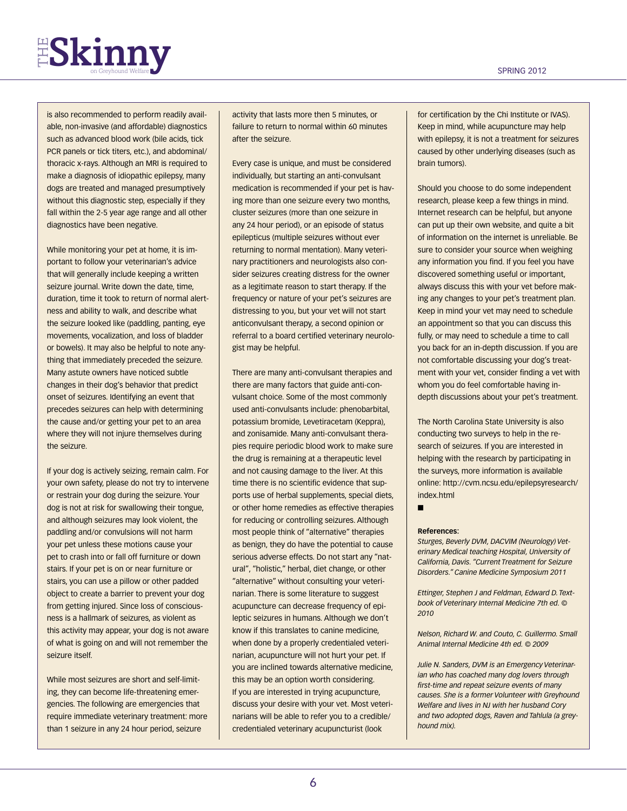# $FS$ kinny  $s_{\text{on Gravhoud Weltare}}$

is also recommended to perform readily available, non-invasive (and affordable) diagnostics such as advanced blood work (bile acids, tick PCR panels or tick titers, etc.), and abdominal/ thoracic x-rays. Although an MRI is required to make a diagnosis of idiopathic epilepsy, many dogs are treated and managed presumptively without this diagnostic step, especially if they fall within the 2-5 year age range and all other diagnostics have been negative.

While monitoring your pet at home, it is important to follow your veterinarian's advice that will generally include keeping a written seizure journal. Write down the date, time, duration, time it took to return of normal alertness and ability to walk, and describe what the seizure looked like (paddling, panting, eye movements, vocalization, and loss of bladder or bowels). It may also be helpful to note anything that immediately preceded the seizure. Many astute owners have noticed subtle changes in their dog's behavior that predict onset of seizures. Identifying an event that precedes seizures can help with determining the cause and/or getting your pet to an area where they will not injure themselves during the seizure.

If your dog is actively seizing, remain calm. For your own safety, please do not try to intervene or restrain your dog during the seizure. Your dog is not at risk for swallowing their tongue, and although seizures may look violent, the paddling and/or convulsions will not harm your pet unless these motions cause your pet to crash into or fall off furniture or down stairs. If your pet is on or near furniture or stairs, you can use a pillow or other padded object to create a barrier to prevent your dog from getting injured. Since loss of consciousness is a hallmark of seizures, as violent as this activity may appear, your dog is not aware of what is going on and will not remember the seizure itself.

While most seizures are short and self-limiting, they can become life-threatening emergencies. The following are emergencies that require immediate veterinary treatment: more than 1 seizure in any 24 hour period, seizure

activity that lasts more then 5 minutes, or failure to return to normal within 60 minutes after the seizure.

Every case is unique, and must be considered individually, but starting an anti-convulsant medication is recommended if your pet is having more than one seizure every two months, cluster seizures (more than one seizure in any 24 hour period), or an episode of status epilepticus (multiple seizures without ever returning to normal mentation). Many veterinary practitioners and neurologists also consider seizures creating distress for the owner as a legitimate reason to start therapy. If the frequency or nature of your pet's seizures are distressing to you, but your vet will not start anticonvulsant therapy, a second opinion or referral to a board certified veterinary neurologist may be helpful.

There are many anti-convulsant therapies and there are many factors that guide anti-convulsant choice. Some of the most commonly used anti-convulsants include: phenobarbital, potassium bromide, Levetiracetam (Keppra), and zonisamide. Many anti-convulsant therapies require periodic blood work to make sure the drug is remaining at a therapeutic level and not causing damage to the liver. At this time there is no scientific evidence that supports use of herbal supplements, special diets, or other home remedies as effective therapies for reducing or controlling seizures. Although most people think of "alternative" therapies as benign, they do have the potential to cause serious adverse effects. Do not start any "natural", "holistic," herbal, diet change, or other "alternative" without consulting your veterinarian. There is some literature to suggest acupuncture can decrease frequency of epileptic seizures in humans. Although we don't know if this translates to canine medicine, when done by a properly credentialed veterinarian, acupuncture will not hurt your pet. If you are inclined towards alternative medicine, this may be an option worth considering. If you are interested in trying acupuncture, discuss your desire with your vet. Most veterinarians will be able to refer you to a credible/ credentialed veterinary acupuncturist (look

for certification by the Chi Institute or IVAS). Keep in mind, while acupuncture may help with epilepsy, it is not a treatment for seizures caused by other underlying diseases (such as brain tumors).

Should you choose to do some independent research, please keep a few things in mind. Internet research can be helpful, but anyone can put up their own website, and quite a bit of information on the internet is unreliable. Be sure to consider your source when weighing any information you find. If you feel you have discovered something useful or important, always discuss this with your vet before making any changes to your pet's treatment plan. Keep in mind your vet may need to schedule an appointment so that you can discuss this fully, or may need to schedule a time to call you back for an in-depth discussion. If you are not comfortable discussing your dog's treatment with your vet, consider finding a vet with whom you do feel comfortable having indepth discussions about your pet's treatment.

The North Carolina State University is also conducting two surveys to help in the research of seizures. If you are interested in helping with the research by participating in the surveys, more information is available online: http://cvm.ncsu.edu/epilepsyresearch/ index.html

n

#### **References:**

*Sturges, Beverly DVM, DACVIM (Neurology) Veterinary Medical teaching Hospital, University of California, Davis. "Current Treatment for Seizure Disorders." Canine Medicine Symposium 2011*

*Ettinger, Stephen J and Feldman, Edward D. Textbook of Veterinary Internal Medicine 7th ed. © 2010*

*Nelson, Richard W. and Couto, C. Guillermo. Small Animal Internal Medicine 4th ed. © 2009*

*Julie N. Sanders, DVM is an Emergency Veterinarian who has coached many dog lovers through first-time and repeat seizure events of many causes. She is a former Volunteer with Greyhound Welfare and lives in NJ with her husband Cory and two adopted dogs, Raven and Tahlula (a greyhound mix).*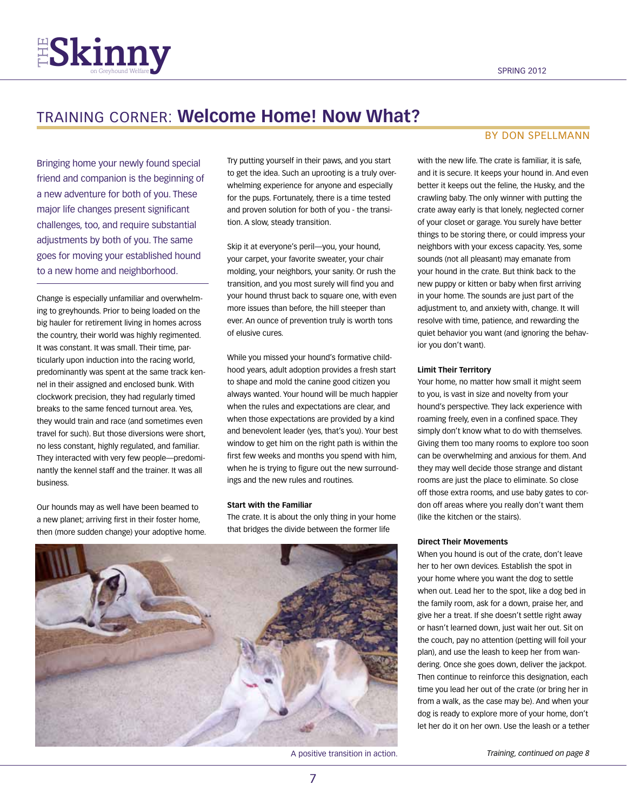

## training corner: **Welcome Home! Now What?**

Bringing home your newly found special friend and companion is the beginning of a new adventure for both of you. These major life changes present significant challenges, too, and require substantial adjustments by both of you. The same goes for moving your established hound to a new home and neighborhood.

Change is especially unfamiliar and overwhelming to greyhounds. Prior to being loaded on the big hauler for retirement living in homes across the country, their world was highly regimented. It was constant. It was small. Their time, particularly upon induction into the racing world, predominantly was spent at the same track kennel in their assigned and enclosed bunk. With clockwork precision, they had regularly timed breaks to the same fenced turnout area. Yes, they would train and race (and sometimes even travel for such). But those diversions were short, no less constant, highly regulated, and familiar. They interacted with very few people—predominantly the kennel staff and the trainer. It was all business.

Our hounds may as well have been beamed to a new planet; arriving first in their foster home, then (more sudden change) your adoptive home.

Try putting yourself in their paws, and you start to get the idea. Such an uprooting is a truly overwhelming experience for anyone and especially for the pups. Fortunately, there is a time tested and proven solution for both of you - the transition. A slow, steady transition.

Skip it at everyone's peril—you, your hound, your carpet, your favorite sweater, your chair molding, your neighbors, your sanity. Or rush the transition, and you most surely will find you and your hound thrust back to square one, with even more issues than before, the hill steeper than ever. An ounce of prevention truly is worth tons of elusive cures.

While you missed your hound's formative childhood years, adult adoption provides a fresh start to shape and mold the canine good citizen you always wanted. Your hound will be much happier when the rules and expectations are clear, and when those expectations are provided by a kind and benevolent leader (yes, that's you). Your best window to get him on the right path is within the first few weeks and months you spend with him, when he is trying to figure out the new surroundings and the new rules and routines.

#### **Start with the Familiar**

The crate. It is about the only thing in your home that bridges the divide between the former life



A positive transition in action. *Training, continued on page 8*

## By Don Spellmann

with the new life. The crate is familiar, it is safe. and it is secure. It keeps your hound in. And even better it keeps out the feline, the Husky, and the crawling baby. The only winner with putting the crate away early is that lonely, neglected corner of your closet or garage. You surely have better things to be storing there, or could impress your neighbors with your excess capacity. Yes, some sounds (not all pleasant) may emanate from your hound in the crate. But think back to the new puppy or kitten or baby when first arriving in your home. The sounds are just part of the adjustment to, and anxiety with, change. It will resolve with time, patience, and rewarding the quiet behavior you want (and ignoring the behavior you don't want).

#### **Limit Their Territory**

Your home, no matter how small it might seem to you, is vast in size and novelty from your hound's perspective. They lack experience with roaming freely, even in a confined space. They simply don't know what to do with themselves. Giving them too many rooms to explore too soon can be overwhelming and anxious for them. And they may well decide those strange and distant rooms are just the place to eliminate. So close off those extra rooms, and use baby gates to cordon off areas where you really don't want them (like the kitchen or the stairs).

### **Direct Their Movements**

When you hound is out of the crate, don't leave her to her own devices. Establish the spot in your home where you want the dog to settle when out. Lead her to the spot, like a dog bed in the family room, ask for a down, praise her, and give her a treat. If she doesn't settle right away or hasn't learned down, just wait her out. Sit on the couch, pay no attention (petting will foil your plan), and use the leash to keep her from wandering. Once she goes down, deliver the jackpot. Then continue to reinforce this designation, each time you lead her out of the crate (or bring her in from a walk, as the case may be). And when your dog is ready to explore more of your home, don't let her do it on her own. Use the leash or a tether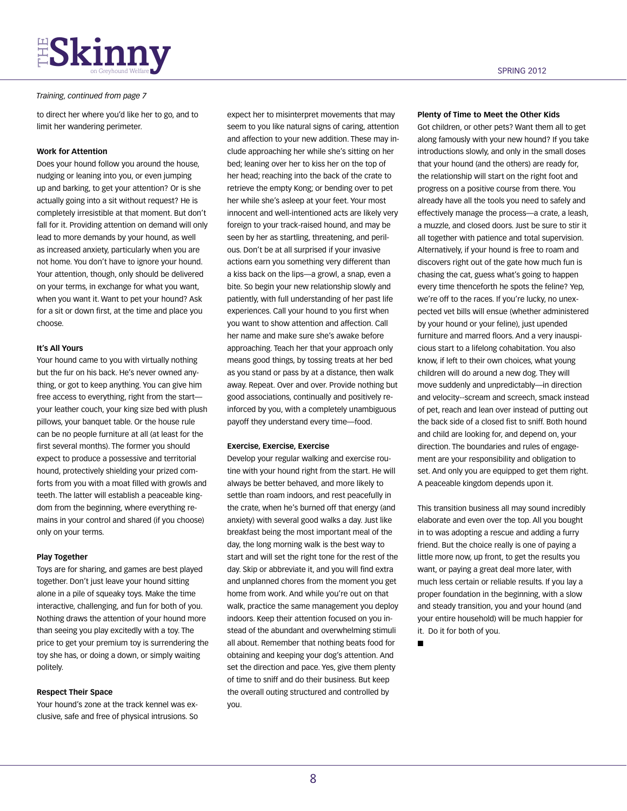# **THE SKINNY**

## *Training, continued from page 7*

to direct her where you'd like her to go, and to limit her wandering perimeter.

## **Work for Attention**

Does your hound follow you around the house, nudging or leaning into you, or even jumping up and barking, to get your attention? Or is she actually going into a sit without request? He is completely irresistible at that moment. But don't fall for it. Providing attention on demand will only lead to more demands by your hound, as well as increased anxiety, particularly when you are not home. You don't have to ignore your hound. Your attention, though, only should be delivered on your terms, in exchange for what you want, when you want it. Want to pet your hound? Ask for a sit or down first, at the time and place you choose.

### **It's All Yours**

Your hound came to you with virtually nothing but the fur on his back. He's never owned anything, or got to keep anything. You can give him free access to everything, right from the start your leather couch, your king size bed with plush pillows, your banquet table. Or the house rule can be no people furniture at all (at least for the first several months). The former you should expect to produce a possessive and territorial hound, protectively shielding your prized comforts from you with a moat filled with growls and teeth. The latter will establish a peaceable kingdom from the beginning, where everything remains in your control and shared (if you choose) only on your terms.

### **Play Together**

Toys are for sharing, and games are best played together. Don't just leave your hound sitting alone in a pile of squeaky toys. Make the time interactive, challenging, and fun for both of you. Nothing draws the attention of your hound more than seeing you play excitedly with a toy. The price to get your premium toy is surrendering the toy she has, or doing a down, or simply waiting politely.

## **Respect Their Space**

Your hound's zone at the track kennel was exclusive, safe and free of physical intrusions. So

expect her to misinterpret movements that may seem to you like natural signs of caring, attention and affection to your new addition. These may include approaching her while she's sitting on her bed; leaning over her to kiss her on the top of her head; reaching into the back of the crate to retrieve the empty Kong; or bending over to pet her while she's asleep at your feet. Your most innocent and well-intentioned acts are likely very foreign to your track-raised hound, and may be seen by her as startling, threatening, and perilous. Don't be at all surprised if your invasive actions earn you something very different than a kiss back on the lips—a growl, a snap, even a bite. So begin your new relationship slowly and patiently, with full understanding of her past life experiences. Call your hound to you first when you want to show attention and affection. Call her name and make sure she's awake before approaching. Teach her that your approach only means good things, by tossing treats at her bed as you stand or pass by at a distance, then walk away. Repeat. Over and over. Provide nothing but good associations, continually and positively reinforced by you, with a completely unambiguous payoff they understand every time—food.

### **Exercise, Exercise, Exercise**

Develop your regular walking and exercise routine with your hound right from the start. He will always be better behaved, and more likely to settle than roam indoors, and rest peacefully in the crate, when he's burned off that energy (and anxiety) with several good walks a day. Just like breakfast being the most important meal of the day, the long morning walk is the best way to start and will set the right tone for the rest of the day. Skip or abbreviate it, and you will find extra and unplanned chores from the moment you get home from work. And while you're out on that walk, practice the same management you deploy indoors. Keep their attention focused on you instead of the abundant and overwhelming stimuli all about. Remember that nothing beats food for obtaining and keeping your dog's attention. And set the direction and pace. Yes, give them plenty of time to sniff and do their business. But keep the overall outing structured and controlled by you.

#### **Plenty of Time to Meet the Other Kids**

Got children, or other pets? Want them all to get along famously with your new hound? If you take introductions slowly, and only in the small doses that your hound (and the others) are ready for, the relationship will start on the right foot and progress on a positive course from there. You already have all the tools you need to safely and effectively manage the process—a crate, a leash, a muzzle, and closed doors. Just be sure to stir it all together with patience and total supervision. Alternatively, if your hound is free to roam and discovers right out of the gate how much fun is chasing the cat, guess what's going to happen every time thenceforth he spots the feline? Yep, we're off to the races. If you're lucky, no unexpected vet bills will ensue (whether administered by your hound or your feline), just upended furniture and marred floors. And a very inauspicious start to a lifelong cohabitation. You also know, if left to their own choices, what young children will do around a new dog. They will move suddenly and unpredictably—in direction and velocity--scream and screech, smack instead of pet, reach and lean over instead of putting out the back side of a closed fist to sniff. Both hound and child are looking for, and depend on, your direction. The boundaries and rules of engagement are your responsibility and obligation to set. And only you are equipped to get them right. A peaceable kingdom depends upon it.

This transition business all may sound incredibly elaborate and even over the top. All you bought in to was adopting a rescue and adding a furry friend. But the choice really is one of paying a little more now, up front, to get the results you want, or paying a great deal more later, with much less certain or reliable results. If you lay a proper foundation in the beginning, with a slow and steady transition, you and your hound (and your entire household) will be much happier for it. Do it for both of you.

n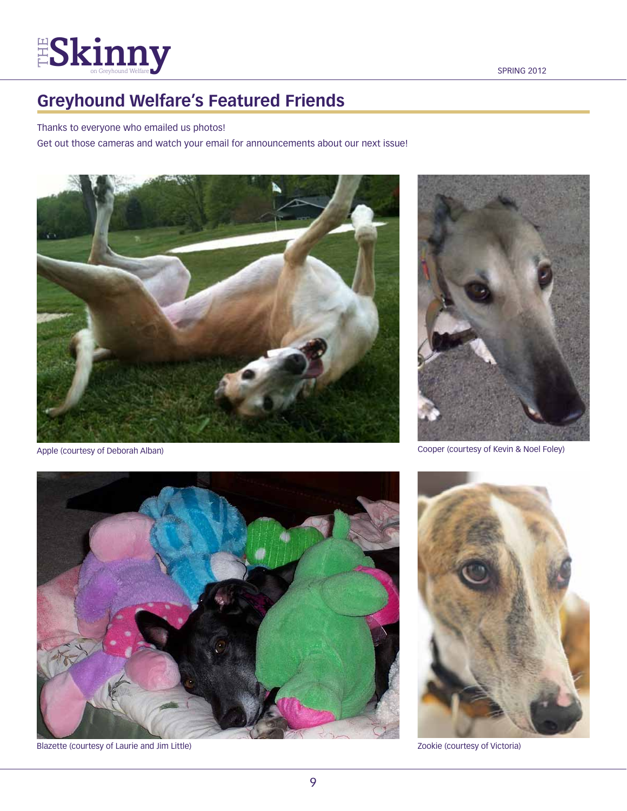# $\frac{1}{2}$ Skinny sepand Welfare space space space spring 2012

## **Greyhound Welfare's Featured Friends**

## Thanks to everyone who emailed us photos!

Get out those cameras and watch your email for announcements about our next issue!



Apple (courtesy of Deborah Alban)



Cooper (courtesy of Kevin & Noel Foley)



Blazette (courtesy of Laurie and Jim Little) Zookie (courtesy of Victoria)